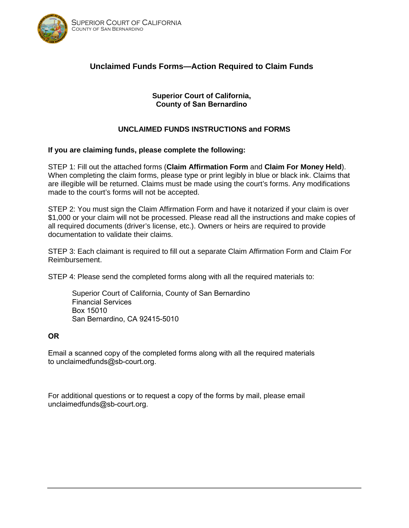

# **Unclaimed Funds Forms—Action Required to Claim Funds**

#### **Superior Court of California, County of San Bernardino**

## **UNCLAIMED FUNDS INSTRUCTIONS and FORMS**

#### **If you are claiming funds, please complete the following:**

STEP 1: Fill out the attached forms (**Claim Affirmation Form** and **Claim For Money Held**). When completing the claim forms, please type or print legibly in blue or black ink. Claims that are illegible will be returned. Claims must be made using the court's forms. Any modifications made to the court's forms will not be accepted.

STEP 2: You must sign the Claim Affirmation Form and have it notarized if your claim is over \$1,000 or your claim will not be processed. Please read all the instructions and make copies of all required documents (driver's license, etc.). Owners or heirs are required to provide documentation to validate their claims.

STEP 3: Each claimant is required to fill out a separate Claim Affirmation Form and Claim For Reimbursement.

STEP 4: Please send the completed forms along with all the required materials to:

Superior Court of California, County of San Bernardino Financial Services Box 15010 San Bernardino, CA 92415-5010

#### **OR**

Email a scanned copy of the completed forms along with all the required materials to unclaimedfunds@sb-court.org.

For additional questions or to request a copy of the forms by mail, please email unclaimedfunds@sb-court.org.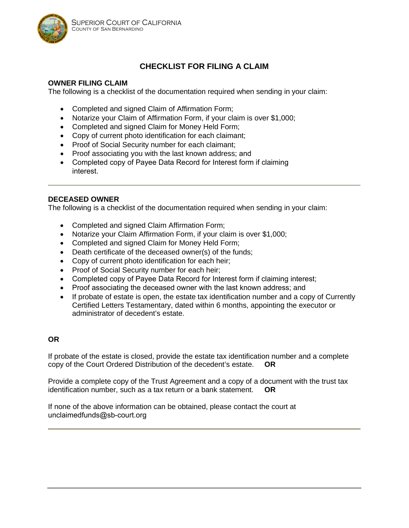

# **CHECKLIST FOR FILING A CLAIM**

#### **OWNER FILING CLAIM**

The following is a checklist of the documentation required when sending in your claim:

- Completed and signed Claim of Affirmation Form;
- Notarize your Claim of Affirmation Form, if your claim is over \$1,000;
- Completed and signed Claim for Money Held Form;
- Copy of current photo identification for each claimant;
- Proof of Social Security number for each claimant;
- Proof associating you with the last known address; and
- Completed copy of Payee Data Record for Interest form if claiming interest.

#### **DECEASED OWNER**

The following is a checklist of the documentation required when sending in your claim:

- Completed and signed Claim Affirmation Form;
- Notarize your Claim Affirmation Form, if your claim is over \$1,000;
- Completed and signed Claim for Money Held Form;
- Death certificate of the deceased owner(s) of the funds;
- Copy of current photo identification for each heir;
- Proof of Social Security number for each heir;
- Completed copy of Payee Data Record for Interest form if claiming interest;
- Proof associating the deceased owner with the last known address; and
- If probate of estate is open, the estate tax identification number and a copy of Currently Certified Letters Testamentary, dated within 6 months, appointing the executor or administrator of decedent's estate.

#### **OR**

If probate of the estate is closed, provide the estate tax identification number and a complete copy of the Court Ordered Distribution of the decedent's estate. **OR**

Provide a complete copy of the Trust Agreement and a copy of a document with the trust tax identification number, such as a tax return or a bank statement. **OR**

If none of the above information can be obtained, please contact the court at unclaimedfunds@sb-court.org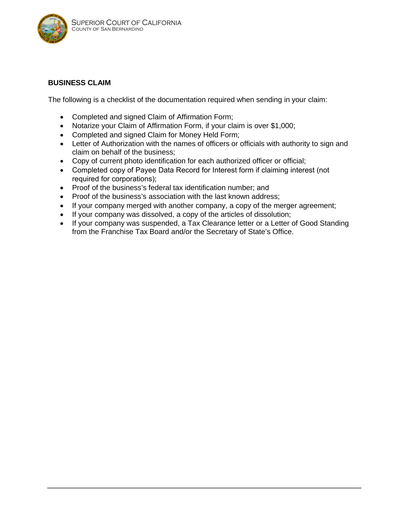

#### **BUSINESS CLAIM**

The following is a checklist of the documentation required when sending in your claim:

- Completed and signed Claim of Affirmation Form;
- Notarize your Claim of Affirmation Form, if your claim is over \$1,000;
- Completed and signed Claim for Money Held Form;
- Letter of Authorization with the names of officers or officials with authority to sign and claim on behalf of the business;
- Copy of current photo identification for each authorized officer or official;
- Completed copy of Payee Data Record for Interest form if claiming interest (not required for corporations);
- Proof of the business's federal tax identification number; and
- Proof of the business's association with the last known address;
- If your company merged with another company, a copy of the merger agreement;
- If your company was dissolved, a copy of the articles of dissolution;
- If your company was suspended, a Tax Clearance letter or a Letter of Good Standing from the Franchise Tax Board and/or the Secretary of State's Office.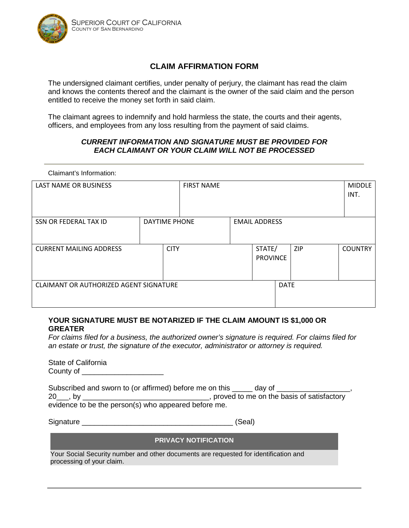

## **CLAIM AFFIRMATION FORM**

The undersigned claimant certifies, under penalty of perjury, the claimant has read the claim and knows the contents thereof and the claimant is the owner of the said claim and the person entitled to receive the money set forth in said claim.

The claimant agrees to indemnify and hold harmless the state, the courts and their agents, officers, and employees from any loss resulting from the payment of said claims.

#### *CURRENT INFORMATION AND SIGNATURE MUST BE PROVIDED FOR EACH CLAIMANT OR YOUR CLAIM WILL NOT BE PROCESSED*

| <b>MIDDLE</b><br>INT. |
|-----------------------|
|                       |
|                       |
|                       |
|                       |
|                       |
|                       |
|                       |
| <b>COUNTRY</b>        |
|                       |
|                       |
|                       |
|                       |
|                       |
|                       |
|                       |

#### **YOUR SIGNATURE MUST BE NOTARIZED IF THE CLAIM AMOUNT IS \$1,000 OR GREATER**

*For claims filed for a business, the authorized owner's signature is required. For claims filed for an estate or trust, the signature of the executor, administrator or attorney is required.*

State of California County of **Example 20** 

Claimant's Information:

| Subscribed and sworn to (or affirmed) before me on this | day of                                      |
|---------------------------------------------------------|---------------------------------------------|
| $20$ , by                                               | , proved to me on the basis of satisfactory |
| evidence to be the person(s) who appeared before me.    |                                             |

Signature \_\_\_\_\_\_\_\_\_\_\_\_\_\_\_\_\_\_\_\_\_\_\_\_\_\_\_\_\_\_\_\_\_\_\_\_\_ (Seal)

#### **PRIVACY NOTIFICATION**

Your Social Security number and other documents are requested for identification and processing of your claim.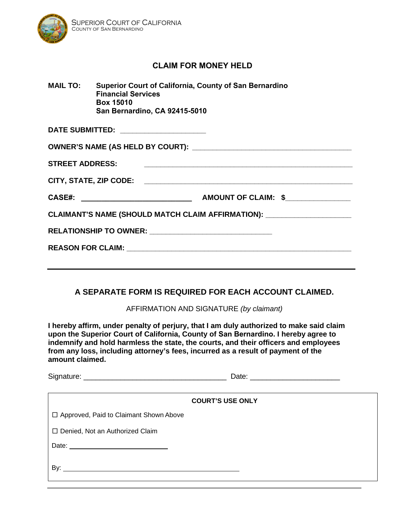

# **CLAIM FOR MONEY HELD**

| <b>MAIL TO:</b>        | <b>Superior Court of California, County of San Bernardino</b><br><b>Financial Services</b><br><b>Box 15010</b><br><b>San Bernardino, CA 92415-5010</b> |
|------------------------|--------------------------------------------------------------------------------------------------------------------------------------------------------|
|                        | DATE SUBMITTED: ______________________                                                                                                                 |
|                        | OWNER'S NAME (AS HELD BY COURT):                                                                                                                       |
| <b>STREET ADDRESS:</b> |                                                                                                                                                        |
| CITY, STATE, ZIP CODE: |                                                                                                                                                        |

| <b>CASE#:</b> | <b>AMOUNT OF CLAIM:</b> |  |
|---------------|-------------------------|--|
|---------------|-------------------------|--|

**CLAIMANT'S NAME (SHOULD MATCH CLAIM AFFIRMATION): \_\_\_\_\_\_\_\_\_\_\_\_\_\_\_\_\_\_\_\_\_** 

**RELATIONSHIP TO OWNER: \_\_\_\_\_\_\_\_\_\_\_\_\_\_\_\_\_\_\_\_\_\_\_\_\_\_\_\_\_\_** 

**REASON FOR CLAIM: \_\_\_\_\_\_\_\_\_\_\_\_\_\_\_\_\_\_\_\_\_\_\_\_\_\_\_\_\_\_\_\_\_\_\_\_\_\_\_\_\_\_\_\_\_\_\_\_\_\_\_\_\_\_\_** 

## **A SEPARATE FORM IS REQUIRED FOR EACH ACCOUNT CLAIMED.**

AFFIRMATION AND SIGNATURE *(by claimant)*

**I hereby affirm, under penalty of perjury, that I am duly authorized to make said claim upon the Superior Court of California, County of San Bernardino. I hereby agree to indemnify and hold harmless the state, the courts, and their officers and employees from any loss, including attorney's fees, incurred as a result of payment of the amount claimed.** 

|                                                                                                                | <b>COURT'S USE ONLY</b> |  |
|----------------------------------------------------------------------------------------------------------------|-------------------------|--|
| □ Approved, Paid to Claimant Shown Above                                                                       |                         |  |
| □ Denied, Not an Authorized Claim                                                                              |                         |  |
| Date: 2008 2010 2010 2021 2022 2023 2024 2022 2022 2023 2024 2022 2023 2024 2022 2023 2024 2025 2026 2027 2028 |                         |  |
|                                                                                                                |                         |  |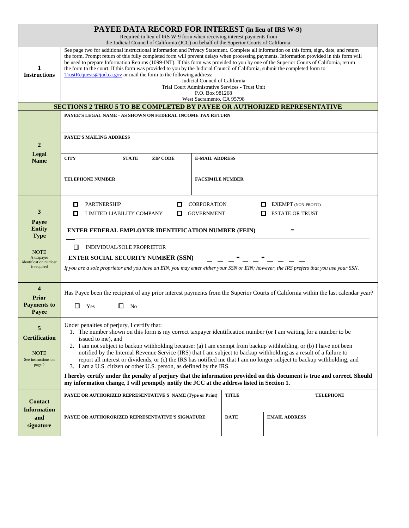|                                                                                                                 | <b>PAYEE DATA RECORD FOR INTEREST</b> (in lieu of IRS W-9)                                                                                                                                                                                                                                                                                                                                                                                                                                                                                                                                                                                                                                                                                                                                                                                                    |                                         |                             |                                                      |                  |
|-----------------------------------------------------------------------------------------------------------------|---------------------------------------------------------------------------------------------------------------------------------------------------------------------------------------------------------------------------------------------------------------------------------------------------------------------------------------------------------------------------------------------------------------------------------------------------------------------------------------------------------------------------------------------------------------------------------------------------------------------------------------------------------------------------------------------------------------------------------------------------------------------------------------------------------------------------------------------------------------|-----------------------------------------|-----------------------------|------------------------------------------------------|------------------|
|                                                                                                                 | Required in lieu of IRS W-9 form when receiving interest payments from<br>the Judicial Council of California (JCC) on behalf of the Superior Courts of California                                                                                                                                                                                                                                                                                                                                                                                                                                                                                                                                                                                                                                                                                             |                                         |                             |                                                      |                  |
| 1<br><b>Instructions</b>                                                                                        | See page two for additional instructional information and Privacy Statement. Complete all information on this form, sign, date, and return<br>the form. Prompt return of this fully completed form will prevent delays when processing payments. Information provided in this form will<br>be used to prepare Information Returns (1099-INT). If this form was provided to you by one of the Superior Courts of California, return<br>the form to the court. If this form was provided to you by the Judicial Council of California, submit the completed form to<br>TrustRequests@jud.ca.gov or mail the form to the following address:<br>Judicial Council of California<br>Trial Court Administrative Services - Trust Unit<br>P.O. Box 981268<br>West Sacramento, CA 95798                                                                                |                                         |                             |                                                      |                  |
|                                                                                                                 | <b>SECTIONS 2 THRU 5 TO BE COMPLETED BY PAYEE OR AUTHORIZED REPRESENTATIVE</b>                                                                                                                                                                                                                                                                                                                                                                                                                                                                                                                                                                                                                                                                                                                                                                                |                                         |                             |                                                      |                  |
| $\overline{2}$                                                                                                  | PAYEE'S LEGAL NAME - AS SHOWN ON FEDERAL INCOME TAX RETURN<br><b>PAYEE'S MAILING ADDRESS</b>                                                                                                                                                                                                                                                                                                                                                                                                                                                                                                                                                                                                                                                                                                                                                                  |                                         |                             |                                                      |                  |
| Legal<br><b>Name</b>                                                                                            | <b>CITY</b><br><b>ZIP CODE</b><br><b>STATE</b>                                                                                                                                                                                                                                                                                                                                                                                                                                                                                                                                                                                                                                                                                                                                                                                                                | <b>E-MAIL ADDRESS</b>                   |                             |                                                      |                  |
|                                                                                                                 | <b>TELEPHONE NUMBER</b>                                                                                                                                                                                                                                                                                                                                                                                                                                                                                                                                                                                                                                                                                                                                                                                                                                       | <b>FACSIMILE NUMBER</b>                 |                             |                                                      |                  |
| 3<br>Payee<br><b>Entity</b><br><b>Type</b><br><b>NOTE</b><br>A taxpayer<br>identification number<br>is required | <b>PARTNERSHIP</b><br>П<br>LIMITED LIABILITY COMPANY<br>П<br>□<br>ENTER FEDERAL EMPLOYER IDENTIFICATION NUMBER (FEIN)<br>0<br>INDIVIDUAL/SOLE PROPRIETOR<br><b>ENTER SOCIAL SECURITY NUMBER (SSN)</b><br>If you are a sole proprietor and you have an EIN, you may enter either your SSN or EIN; however, the IRS prefers that you use your SSN.                                                                                                                                                                                                                                                                                                                                                                                                                                                                                                              | <b>CORPORATION</b><br><b>GOVERNMENT</b> | П<br>П                      | <b>EXEMPT</b> (NON-PROFIT)<br><b>ESTATE OR TRUST</b> |                  |
| $\boldsymbol{4}$<br><b>Prior</b><br><b>Payments to</b><br>Payee                                                 | Has Payee been the recipient of any prior interest payments from the Superior Courts of California within the last calendar year?<br>П.<br>Yes<br>0<br>N <sub>0</sub>                                                                                                                                                                                                                                                                                                                                                                                                                                                                                                                                                                                                                                                                                         |                                         |                             |                                                      |                  |
| 5<br><b>Certification</b><br><b>NOTE</b><br>See instructions on<br>page 2                                       | Under penalties of perjury, I certify that:<br>1. The number shown on this form is my correct taxpayer identification number (or I am waiting for a number to be<br>issued to me), and<br>2. I am not subject to backup withholding because: (a) I am exempt from backup withholding, or (b) I have not been<br>notified by the Internal Revenue Service (IRS) that I am subject to backup withholding as a result of a failure to<br>report all interest or dividends, or (c) the IRS has notified me that I am no longer subject to backup withholding, and<br>3. I am a U.S. citizen or other U.S. person, as defined by the IRS.<br>I hereby certify under the penalty of perjury that the information provided on this document is true and correct. Should<br>my information change, I will promptly notify the JCC at the address listed in Section 1. |                                         |                             |                                                      |                  |
| <b>Contact</b><br><b>Information</b><br>and                                                                     | PAYEE OR AUTHORIZED REPRESENTATIVE'S NAME (Type or Print)<br>PAYEE OR AUTHORORIZED REPRESENTATIVE'S SIGNATURE                                                                                                                                                                                                                                                                                                                                                                                                                                                                                                                                                                                                                                                                                                                                                 |                                         | <b>TITLE</b><br><b>DATE</b> | <b>EMAIL ADDRESS</b>                                 | <b>TELEPHONE</b> |
| signature                                                                                                       |                                                                                                                                                                                                                                                                                                                                                                                                                                                                                                                                                                                                                                                                                                                                                                                                                                                               |                                         |                             |                                                      |                  |